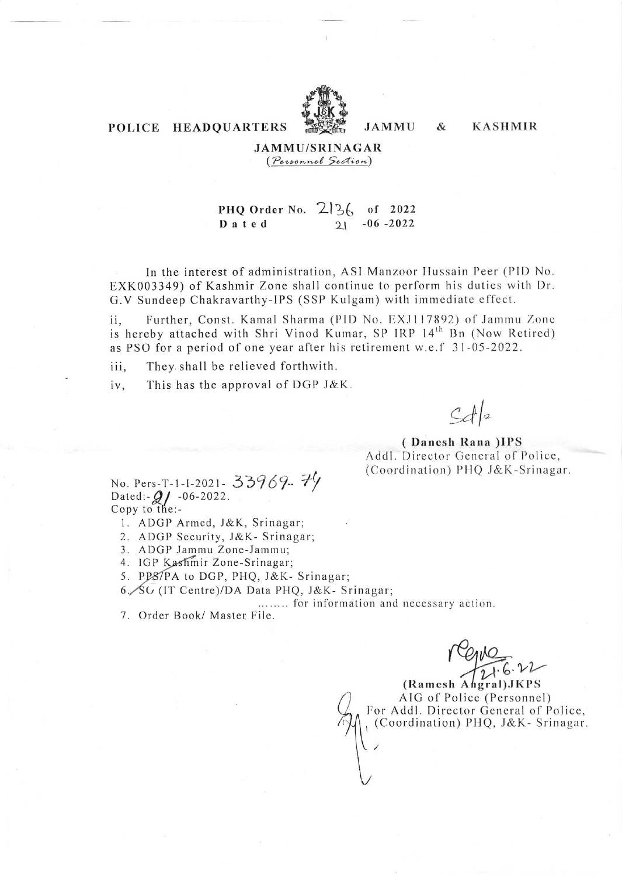

### POLICE HEADQUARTERS

**JAMMU**  $\&$  **KASHMIR** 

**JAMMU/SRINAGAR** (Personnel Section)

#### PHQ Order No.  $2\frac{3}{6}$  of 2022  $-06 - 2022$ Dated  $21$

In the interest of administration, ASI Manzoor Hussain Peer (PID No. EXK003349) of Kashmir Zone shall continue to perform his duties with Dr. G.V Sundeep Chakravarthy-IPS (SSP Kulgam) with immediate effect.

Further, Const. Kamal Sharma (PID No. EXJ117892) of Jammu Zone ii, is hereby attached with Shri Vinod Kumar, SP IRP 14th Bn (Now Retired) as PSO for a period of one year after his retirement w.e.f 31-05-2022.

They shall be relieved forthwith. iii,

This has the approval of DGP J&K. iv,

 $C_d|_2$ 

(Danesh Rana)IPS Addl. Director General of Police, (Coordination) PHQ J&K-Srinagar.

No. Pers-T-1-I-2021- 33969-74<br>Dated:-21-06-2022.<br>Copy to the:-

- 1. ADGP Armed, J&K, Srinagar;
- 2. ADGP Security, J&K- Srinagar;
- 3. ADGP Jammu Zone-Jammu;
- 4. IGP Kashmir Zone-Srinagar;
- 5. PPS/PA to DGP, PHQ, J&K- Srinagar;
- 6. SG (IT Centre)/DA Data PHQ, J&K- Srinagar;

........ for information and necessary action.

7. Order Book/ Master File.

(Ramesh Ahgral) JKPS AIG of Police (Personnel) For Addl. Director General of Police, (Coordination) PHQ, J&K- Srinagar.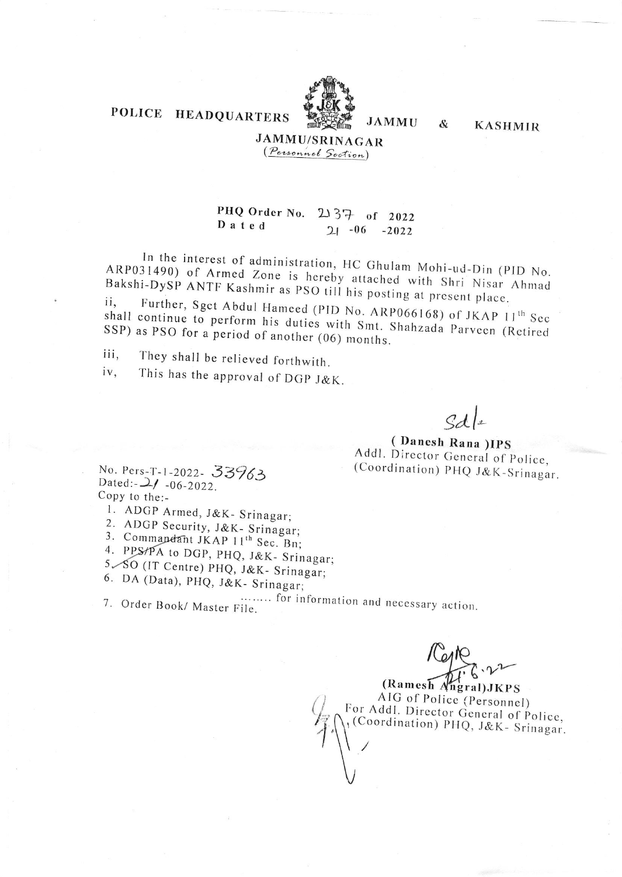# POLICE HEADQUARTERS



**JAMMU** 

&

**KASHMIR** 

## **JAMMU/SRINAGAR** (Personnel Section)

#### PHQ Order No. 2137 of 2022 Dated  $21 - 06 - 2022$

In the interest of administration, HC Ghulam Mohi-ud-Din (PID No. ARP031490) of Armed Zone is hereby attached with Shri Nisar Ahmad Bakshi-DySP ANTF Kashmir as PSO till his posting at present place.

Further, Sgct Abdul Hameed (PID No. ARP066168) of JKAP 11th Sec ii. shall continue to perform his duties with Smt. Shahzada Parveen (Retired SSP) as PSO for a period of another (06) months.

They shall be relieved forthwith. iii.

This has the approval of DGP J&K. iv,

 $dA|_2$ 

(Danesh Rana) IPS Addl. Director General of Police, (Coordination) PHQ J&K-Srinagar.

No. Pers-T-1-2022- 33963 Dated:  $-2/ -06-2022$ . Copy to the:-

1. ADGP Armed, J&K- Srinagar;

2. ADGP Security, J&K- Srinagar;

3. Commandant JKAP 11<sup>th</sup> Sec. Bn;

4. PPS/PA to DGP, PHQ, J&K- Srinagar;

5. SO (IT Centre) PHQ, J&K- Srinagar;

6. DA (Data), PHQ, J&K- Srinagar;

........ for information and necessary action. 7. Order Book/ Master File.

(Ramesh Angral) JKPS AIG of Police (Personnel) For Addl. Director General of Police, (Coordination) PHQ, J&K- Srinagar.